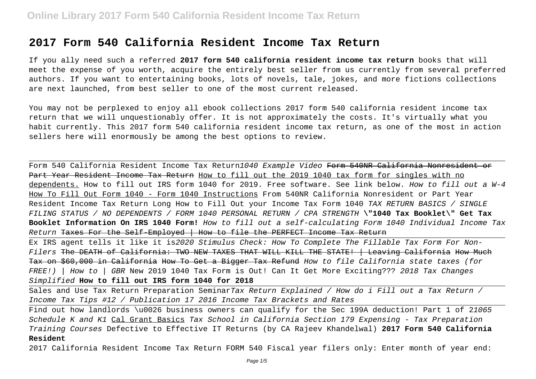# **2017 Form 540 California Resident Income Tax Return**

If you ally need such a referred **2017 form 540 california resident income tax return** books that will meet the expense of you worth, acquire the entirely best seller from us currently from several preferred authors. If you want to entertaining books, lots of novels, tale, jokes, and more fictions collections are next launched, from best seller to one of the most current released.

You may not be perplexed to enjoy all ebook collections 2017 form 540 california resident income tax return that we will unquestionably offer. It is not approximately the costs. It's virtually what you habit currently. This 2017 form 540 california resident income tax return, as one of the most in action sellers here will enormously be among the best options to review.

Form 540 California Resident Income Tax Return1040 Example Video Form 540NR California Nonresident or Part Year Resident Income Tax Return How to fill out the 2019 1040 tax form for singles with no dependents. How to fill out IRS form 1040 for 2019. Free software. See link below. How to fill out a W-4 How To Fill Out Form 1040 - Form 1040 Instructions From 540NR California Nonresident or Part Year Resident Income Tax Return Long How to Fill Out your Income Tax Form 1040 TAX RETURN BASICS / SINGLE FILING STATUS / NO DEPENDENTS / FORM 1040 PERSONAL RETURN / CPA STRENGTH **\"1040 Tax Booklet\" Get Tax Booklet Information On IRS 1040 Form!** How to fill out a self-calculating Form 1040 Individual Income Tax Return Taxes For the Self-Employed | How to file the PERFECT Income Tax Return

Ex IRS agent tells it like it is2020 Stimulus Check: How To Complete The Fillable Tax Form For Non- $Filers$  The DEATH of California: TWO NEW TAXES THAT WILL KILL THE STATE!  $\frac{1}{1}$  Leaving California How Much Tax on \$60,000 in California How To Get a Bigger Tax Refund How to file California state taxes (for FREE!) | How to | GBR New 2019 1040 Tax Form is Out! Can It Get More Exciting??? 2018 Tax Changes Simplified **How to fill out IRS form 1040 for 2018**

Sales and Use Tax Return Preparation SeminarTax Return Explained / How do i Fill out a Tax Return / Income Tax Tips #12 / Publication 17 2016 Income Tax Brackets and Rates

Find out how landlords \u0026 business owners can qualify for the Sec 199A deduction! Part 1 of 21065 Schedule K and K1 Cal Grant Basics Tax School in California Section 179 Expensing - Tax Preparation Training Courses Defective to Effective IT Returns (by CA Rajeev Khandelwal) **2017 Form 540 California Resident**

2017 California Resident Income Tax Return FORM 540 Fiscal year filers only: Enter month of year end: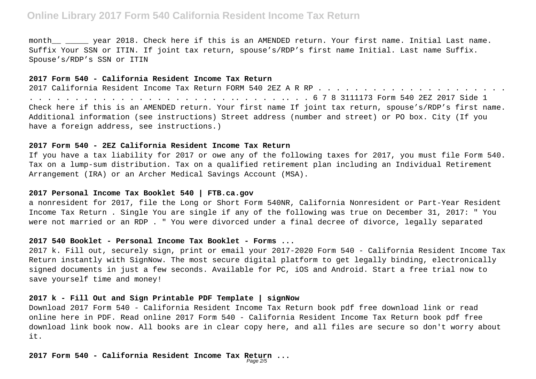# **Online Library 2017 Form 540 California Resident Income Tax Return**

month \_\_\_\_\_\_\_ year 2018. Check here if this is an AMENDED return. Your first name. Initial Last name. Suffix Your SSN or ITIN. If joint tax return, spouse's/RDP's first name Initial. Last name Suffix. Spouse's/RDP's SSN or ITIN

#### **2017 Form 540 - California Resident Income Tax Return**

2017 California Resident Income Tax Return FORM 540 2EZ A R RP . . . . . . . . . . . . . . . . . . . . . . . . . . . . . . . . . . . . . . . . . . . .. . . . . .. . . 6 7 8 3111173 Form 540 2EZ 2017 Side 1 Check here if this is an AMENDED return. Your first name If joint tax return, spouse's/RDP's first name. Additional information (see instructions) Street address (number and street) or PO box. City (If you have a foreign address, see instructions.)

#### **2017 Form 540 - 2EZ California Resident Income Tax Return**

If you have a tax liability for 2017 or owe any of the following taxes for 2017, you must file Form 540. Tax on a lump-sum distribution. Tax on a qualified retirement plan including an Individual Retirement Arrangement (IRA) or an Archer Medical Savings Account (MSA).

# **2017 Personal Income Tax Booklet 540 | FTB.ca.gov**

a nonresident for 2017, file the Long or Short Form 540NR, California Nonresident or Part-Year Resident Income Tax Return . Single You are single if any of the following was true on December 31, 2017: " You were not married or an RDP . " You were divorced under a final decree of divorce, legally separated

#### **2017 540 Booklet - Personal Income Tax Booklet - Forms ...**

2017 k. Fill out, securely sign, print or email your 2017-2020 Form 540 - California Resident Income Tax Return instantly with SignNow. The most secure digital platform to get legally binding, electronically signed documents in just a few seconds. Available for PC, iOS and Android. Start a free trial now to save yourself time and money!

## **2017 k - Fill Out and Sign Printable PDF Template | signNow**

Download 2017 Form 540 - California Resident Income Tax Return book pdf free download link or read online here in PDF. Read online 2017 Form 540 - California Resident Income Tax Return book pdf free download link book now. All books are in clear copy here, and all files are secure so don't worry about it.

**2017 Form 540 - California Resident Income Tax Return ...** Page 2/5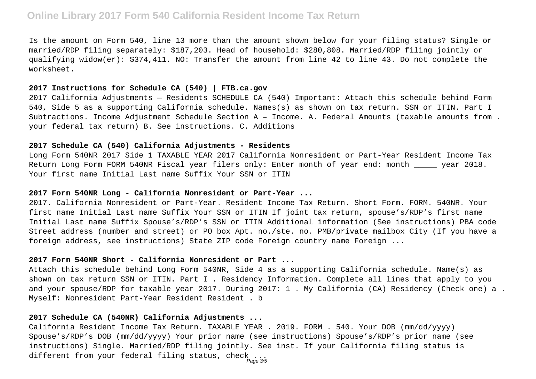# **Online Library 2017 Form 540 California Resident Income Tax Return**

Is the amount on Form 540, line 13 more than the amount shown below for your filing status? Single or married/RDP filing separately: \$187,203. Head of household: \$280,808. Married/RDP filing jointly or qualifying widow(er): \$374,411. NO: Transfer the amount from line 42 to line 43. Do not complete the worksheet.

## **2017 Instructions for Schedule CA (540) | FTB.ca.gov**

2017 California Adjustments — Residents SCHEDULE CA (540) Important: Attach this schedule behind Form 540, Side 5 as a supporting California schedule. Names(s) as shown on tax return. SSN or ITIN. Part I Subtractions. Income Adjustment Schedule Section A – Income. A. Federal Amounts (taxable amounts from . your federal tax return) B. See instructions. C. Additions

### **2017 Schedule CA (540) California Adjustments - Residents**

Long Form 540NR 2017 Side 1 TAXABLE YEAR 2017 California Nonresident or Part-Year Resident Income Tax Return Long Form FORM 540NR Fiscal year filers only: Enter month of year end: month \_\_\_\_\_ year 2018. Your first name Initial Last name Suffix Your SSN or ITIN

# **2017 Form 540NR Long - California Nonresident or Part-Year ...**

2017. California Nonresident or Part-Year. Resident Income Tax Return. Short Form. FORM. 540NR. Your first name Initial Last name Suffix Your SSN or ITIN If joint tax return, spouse's/RDP's first name Initial Last name Suffix Spouse's/RDP's SSN or ITIN Additional information (See instructions) PBA code Street address (number and street) or PO box Apt. no./ste. no. PMB/private mailbox City (If you have a foreign address, see instructions) State ZIP code Foreign country name Foreign ...

## **2017 Form 540NR Short - California Nonresident or Part ...**

Attach this schedule behind Long Form 540NR, Side 4 as a supporting California schedule. Name(s) as shown on tax return SSN or ITIN. Part I . Residency Information. Complete all lines that apply to you and your spouse/RDP for taxable year 2017. During 2017: 1. My California (CA) Residency (Check one) a. Myself: Nonresident Part-Year Resident Resident . b

# **2017 Schedule CA (540NR) California Adjustments ...**

California Resident Income Tax Return. TAXABLE YEAR . 2019. FORM . 540. Your DOB (mm/dd/yyyy) Spouse's/RDP's DOB (mm/dd/yyyy) Your prior name (see instructions) Spouse's/RDP's prior name (see instructions) Single. Married/RDP filing jointly. See inst. If your California filing status is different from your federal filing status, check ...<br>Page 3/5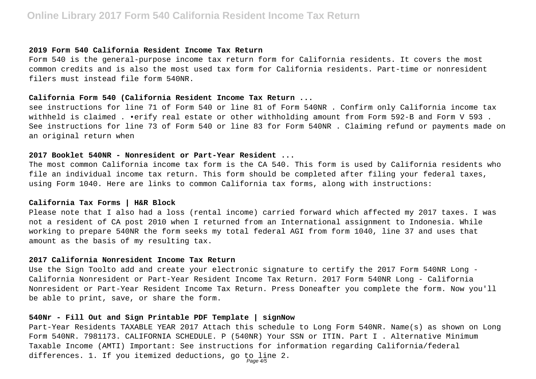#### **2019 Form 540 California Resident Income Tax Return**

Form 540 is the general-purpose income tax return form for California residents. It covers the most common credits and is also the most used tax form for California residents. Part-time or nonresident filers must instead file form 540NR.

## **California Form 540 (California Resident Income Tax Return ...**

see instructions for line 71 of Form 540 or line 81 of Form 540NR . Confirm only California income tax withheld is claimed . •erify real estate or other withholding amount from Form 592-B and Form V 593 . See instructions for line 73 of Form 540 or line 83 for Form 540NR . Claiming refund or payments made on an original return when

# **2017 Booklet 540NR - Nonresident or Part-Year Resident ...**

The most common California income tax form is the CA 540. This form is used by California residents who file an individual income tax return. This form should be completed after filing your federal taxes, using Form 1040. Here are links to common California tax forms, along with instructions:

# **California Tax Forms | H&R Block**

Please note that I also had a loss (rental income) carried forward which affected my 2017 taxes. I was not a resident of CA post 2010 when I returned from an International assignment to Indonesia. While working to prepare 540NR the form seeks my total federal AGI from form 1040, line 37 and uses that amount as the basis of my resulting tax.

### **2017 California Nonresident Income Tax Return**

Use the Sign Toolto add and create your electronic signature to certify the 2017 Form 540NR Long - California Nonresident or Part-Year Resident Income Tax Return. 2017 Form 540NR Long - California Nonresident or Part-Year Resident Income Tax Return. Press Doneafter you complete the form. Now you'll be able to print, save, or share the form.

# **540Nr - Fill Out and Sign Printable PDF Template | signNow**

Part-Year Residents TAXABLE YEAR 2017 Attach this schedule to Long Form 540NR. Name(s) as shown on Long Form 540NR. 7981173. CALIFORNIA SCHEDULE. P (540NR) Your SSN or ITIN. Part I . Alternative Minimum Taxable Income (AMTI) Important: See instructions for information regarding California/federal differences. 1. If you itemized deductions, go to line 2.